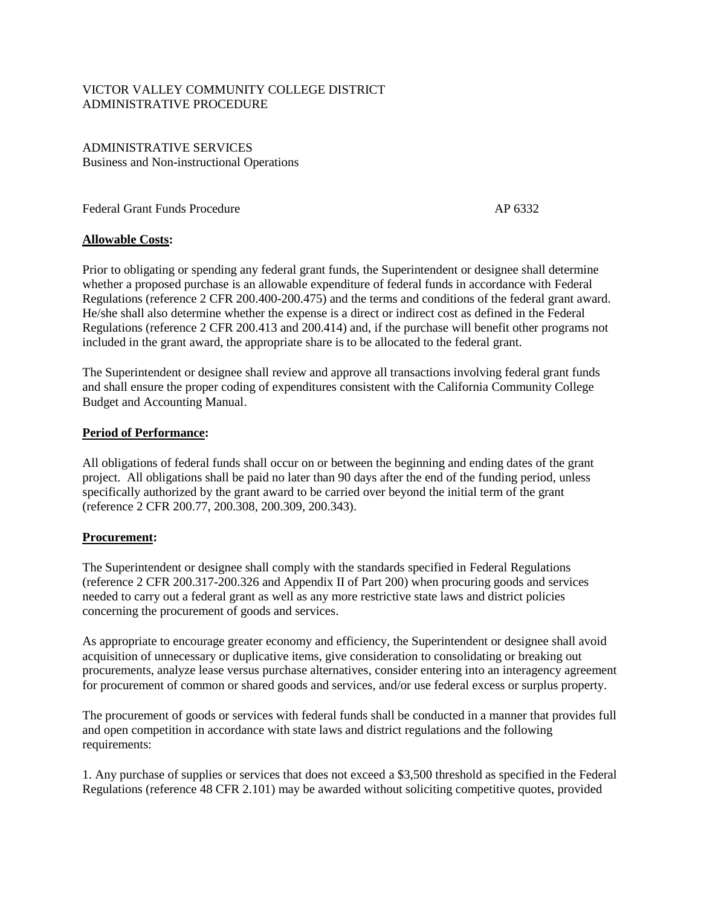## VICTOR VALLEY COMMUNITY COLLEGE DISTRICT ADMINISTRATIVE PROCEDURE

ADMINISTRATIVE SERVICES Business and Non-instructional Operations

Federal Grant Funds Procedure AP 6332

## **Allowable Costs:**

Prior to obligating or spending any federal grant funds, the Superintendent or designee shall determine whether a proposed purchase is an allowable expenditure of federal funds in accordance with Federal Regulations (reference 2 CFR 200.400-200.475) and the terms and conditions of the federal grant award. He/she shall also determine whether the expense is a direct or indirect cost as defined in the Federal Regulations (reference 2 CFR 200.413 and 200.414) and, if the purchase will benefit other programs not included in the grant award, the appropriate share is to be allocated to the federal grant.

The Superintendent or designee shall review and approve all transactions involving federal grant funds and shall ensure the proper coding of expenditures consistent with the California Community College Budget and Accounting Manual.

## **Period of Performance:**

All obligations of federal funds shall occur on or between the beginning and ending dates of the grant project. All obligations shall be paid no later than 90 days after the end of the funding period, unless specifically authorized by the grant award to be carried over beyond the initial term of the grant (reference 2 CFR 200.77, 200.308, 200.309, 200.343).

## **Procurement:**

The Superintendent or designee shall comply with the standards specified in Federal Regulations (reference 2 CFR 200.317-200.326 and Appendix II of Part 200) when procuring goods and services needed to carry out a federal grant as well as any more restrictive state laws and district policies concerning the procurement of goods and services.

As appropriate to encourage greater economy and efficiency, the Superintendent or designee shall avoid acquisition of unnecessary or duplicative items, give consideration to consolidating or breaking out procurements, analyze lease versus purchase alternatives, consider entering into an interagency agreement for procurement of common or shared goods and services, and/or use federal excess or surplus property.

The procurement of goods or services with federal funds shall be conducted in a manner that provides full and open competition in accordance with state laws and district regulations and the following requirements:

1. Any purchase of supplies or services that does not exceed a \$3,500 threshold as specified in the Federal Regulations (reference 48 CFR 2.101) may be awarded without soliciting competitive quotes, provided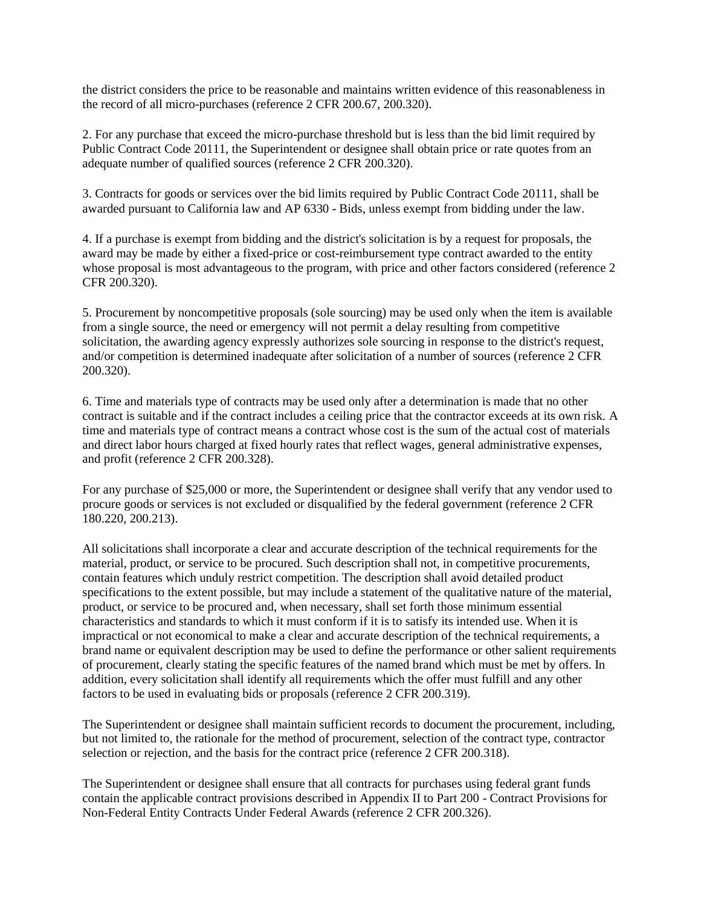the district considers the price to be reasonable and maintains written evidence of this reasonableness in the record of all micro-purchases (reference 2 CFR 200.67, 200.320).

2. For any purchase that exceed the micro-purchase threshold but is less than the bid limit required by Public Contract Code 20111, the Superintendent or designee shall obtain price or rate quotes from an adequate number of qualified sources (reference 2 CFR 200.320).

3. Contracts for goods or services over the bid limits required by Public Contract Code 20111, shall be awarded pursuant to California law and AP 6330 - Bids, unless exempt from bidding under the law.

4. If a purchase is exempt from bidding and the district's solicitation is by a request for proposals, the award may be made by either a fixed-price or cost-reimbursement type contract awarded to the entity whose proposal is most advantageous to the program, with price and other factors considered (reference 2) CFR 200.320).

5. Procurement by noncompetitive proposals (sole sourcing) may be used only when the item is available from a single source, the need or emergency will not permit a delay resulting from competitive solicitation, the awarding agency expressly authorizes sole sourcing in response to the district's request, and/or competition is determined inadequate after solicitation of a number of sources (reference 2 CFR 200.320).

6. Time and materials type of contracts may be used only after a determination is made that no other contract is suitable and if the contract includes a ceiling price that the contractor exceeds at its own risk. A time and materials type of contract means a contract whose cost is the sum of the actual cost of materials and direct labor hours charged at fixed hourly rates that reflect wages, general administrative expenses, and profit (reference 2 CFR 200.328).

For any purchase of \$25,000 or more, the Superintendent or designee shall verify that any vendor used to procure goods or services is not excluded or disqualified by the federal government (reference 2 CFR 180.220, 200.213).

All solicitations shall incorporate a clear and accurate description of the technical requirements for the material, product, or service to be procured. Such description shall not, in competitive procurements, contain features which unduly restrict competition. The description shall avoid detailed product specifications to the extent possible, but may include a statement of the qualitative nature of the material, product, or service to be procured and, when necessary, shall set forth those minimum essential characteristics and standards to which it must conform if it is to satisfy its intended use. When it is impractical or not economical to make a clear and accurate description of the technical requirements, a brand name or equivalent description may be used to define the performance or other salient requirements of procurement, clearly stating the specific features of the named brand which must be met by offers. In addition, every solicitation shall identify all requirements which the offer must fulfill and any other factors to be used in evaluating bids or proposals (reference 2 CFR 200.319).

The Superintendent or designee shall maintain sufficient records to document the procurement, including, but not limited to, the rationale for the method of procurement, selection of the contract type, contractor selection or rejection, and the basis for the contract price (reference 2 CFR 200.318).

The Superintendent or designee shall ensure that all contracts for purchases using federal grant funds contain the applicable contract provisions described in Appendix II to Part 200 - Contract Provisions for Non-Federal Entity Contracts Under Federal Awards (reference 2 CFR 200.326).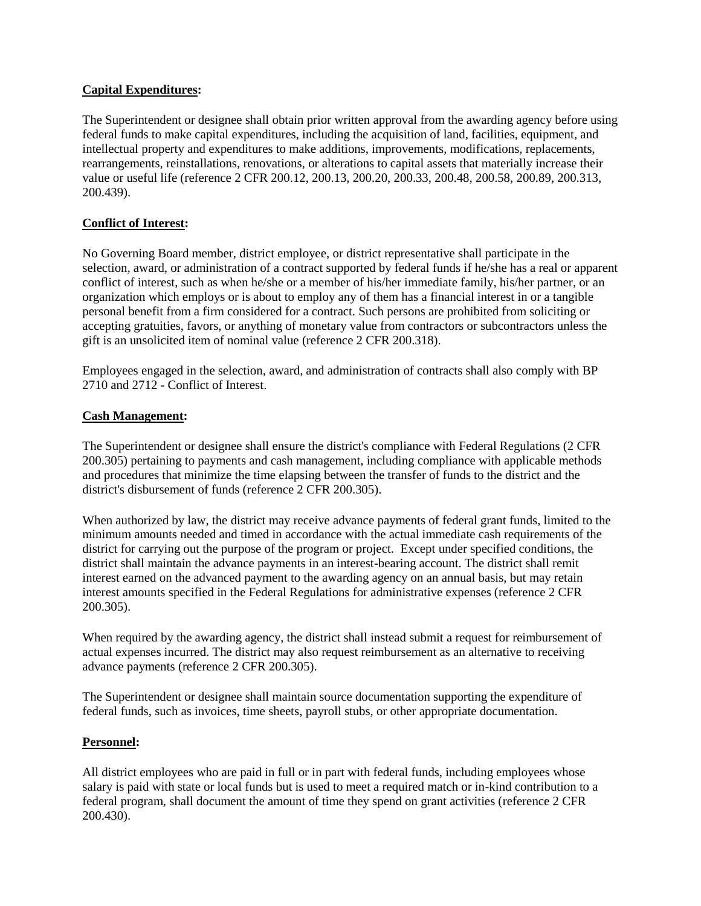## **Capital Expenditures:**

The Superintendent or designee shall obtain prior written approval from the awarding agency before using federal funds to make capital expenditures, including the acquisition of land, facilities, equipment, and intellectual property and expenditures to make additions, improvements, modifications, replacements, rearrangements, reinstallations, renovations, or alterations to capital assets that materially increase their value or useful life (reference 2 CFR 200.12, 200.13, 200.20, 200.33, 200.48, 200.58, 200.89, 200.313, 200.439).

# **Conflict of Interest:**

No Governing Board member, district employee, or district representative shall participate in the selection, award, or administration of a contract supported by federal funds if he/she has a real or apparent conflict of interest, such as when he/she or a member of his/her immediate family, his/her partner, or an organization which employs or is about to employ any of them has a financial interest in or a tangible personal benefit from a firm considered for a contract. Such persons are prohibited from soliciting or accepting gratuities, favors, or anything of monetary value from contractors or subcontractors unless the gift is an unsolicited item of nominal value (reference 2 CFR 200.318).

Employees engaged in the selection, award, and administration of contracts shall also comply with BP 2710 and 2712 - Conflict of Interest.

## **Cash Management:**

The Superintendent or designee shall ensure the district's compliance with Federal Regulations (2 CFR 200.305) pertaining to payments and cash management, including compliance with applicable methods and procedures that minimize the time elapsing between the transfer of funds to the district and the district's disbursement of funds (reference 2 CFR 200.305).

When authorized by law, the district may receive advance payments of federal grant funds, limited to the minimum amounts needed and timed in accordance with the actual immediate cash requirements of the district for carrying out the purpose of the program or project. Except under specified conditions, the district shall maintain the advance payments in an interest-bearing account. The district shall remit interest earned on the advanced payment to the awarding agency on an annual basis, but may retain interest amounts specified in the Federal Regulations for administrative expenses (reference 2 CFR 200.305).

When required by the awarding agency, the district shall instead submit a request for reimbursement of actual expenses incurred. The district may also request reimbursement as an alternative to receiving advance payments (reference 2 CFR 200.305).

The Superintendent or designee shall maintain source documentation supporting the expenditure of federal funds, such as invoices, time sheets, payroll stubs, or other appropriate documentation.

# **Personnel:**

All district employees who are paid in full or in part with federal funds, including employees whose salary is paid with state or local funds but is used to meet a required match or in-kind contribution to a federal program, shall document the amount of time they spend on grant activities (reference 2 CFR 200.430).